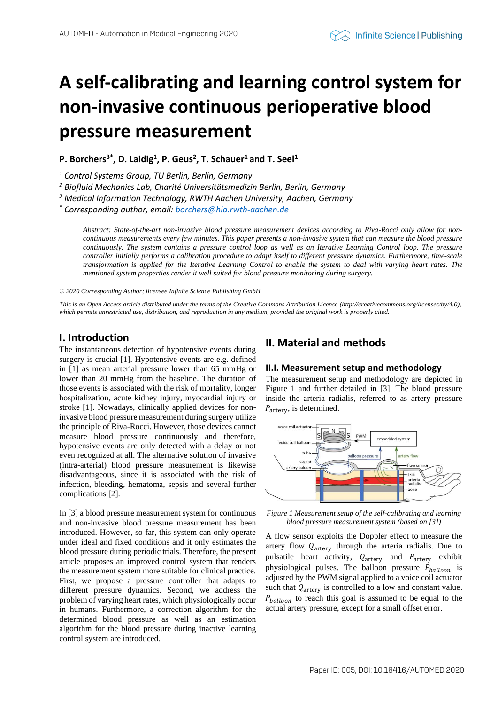# **A self-calibrating and learning control system for non-invasive continuous perioperative blood pressure measurement**

# **P. Borchers3\* , D. Laidig<sup>1</sup> , P. Geus<sup>2</sup> , T. Schauer<sup>1</sup>and T. Seel<sup>1</sup>**

*<sup>1</sup> Control Systems Group, TU Berlin, Berlin, Germany* 

*<sup>2</sup> Biofluid Mechanics Lab, Charité Universitätsmedizin Berlin, Berlin, Germany*

*<sup>3</sup> Medical Information Technology, RWTH Aachen University, Aachen, Germany*

*\* Corresponding author, email[: borchers@hia.rwth-aachen.de](mailto:borchers@hia.rwth-aachen.de)*

*Abstract: State-of-the-art non-invasive blood pressure measurement devices according to Riva-Rocci only allow for noncontinuous measurements every few minutes. This paper presents a non-invasive system that can measure the blood pressure continuously. The system contains a pressure control loop as well as an Iterative Learning Control loop. The pressure controller initially performs a calibration procedure to adapt itself to different pressure dynamics. Furthermore, time-scale transformation is applied for the Iterative Learning Control to enable the system to deal with varying heart rates. The mentioned system properties render it well suited for blood pressure monitoring during surgery.*

*© 2020 Corresponding Author; licensee Infinite Science Publishing GmbH*

*This is an Open Access article distributed under the terms of the Creative Commons Attribution License (http://creativecommons.org/licenses/by/4.0),*  which permits unrestricted use, distribution, and reproduction in any medium, provided the original work is properly cited.

## **I. Introduction**

The instantaneous detection of hypotensive events during surgery is crucial [1]. Hypotensive events are e.g. defined in [1] as mean arterial pressure lower than 65 mmHg or lower than 20 mmHg from the baseline. The duration of those events is associated with the risk of mortality, longer hospitalization, acute kidney injury, myocardial injury or stroke [1]. Nowadays, clinically applied devices for noninvasive blood pressure measurement during surgery utilize the principle of Riva-Rocci. However, those devices cannot measure blood pressure continuously and therefore, hypotensive events are only detected with a delay or not even recognized at all. The alternative solution of invasive (intra-arterial) blood pressure measurement is likewise disadvantageous, since it is associated with the risk of infection, bleeding, hematoma, sepsis and several further complications [2].

In [3] a blood pressure measurement system for continuous and non-invasive blood pressure measurement has been introduced. However, so far, this system can only operate under ideal and fixed conditions and it only estimates the blood pressure during periodic trials. Therefore, the present article proposes an improved control system that renders the measurement system more suitable for clinical practice. First, we propose a pressure controller that adapts to different pressure dynamics. Second, we address the problem of varying heart rates, which physiologically occur in humans. Furthermore, a correction algorithm for the determined blood pressure as well as an estimation algorithm for the blood pressure during inactive learning control system are introduced.

## **II. Material and methods**

## **II.I. Measurement setup and methodology**

The measurement setup and methodology are depicted in Figure 1 and further detailed in [3]. The blood pressure inside the arteria radialis, referred to as artery pressure  $P_{\text{arterv}}$ , is determined.



*Figure 1 Measurement setup of the self-calibrating and learning blood pressure measurement system (based on [3])*

A flow sensor exploits the Doppler effect to measure the artery flow  $Q_{\text{arterv}}$  through the arteria radialis. Due to pulsatile heart activity,  $Q_{\text{artery}}$  and  $P_{\text{artery}}$  exhibit physiological pulses. The balloon pressure  $P_{\text{balloon}}$  is adjusted by the PWM signal applied to a voice coil actuator such that  $Q_{\text{artery}}$  is controlled to a low and constant value.  $P_{\text{balloon}}$  to reach this goal is assumed to be equal to the actual artery pressure, except for a small offset error.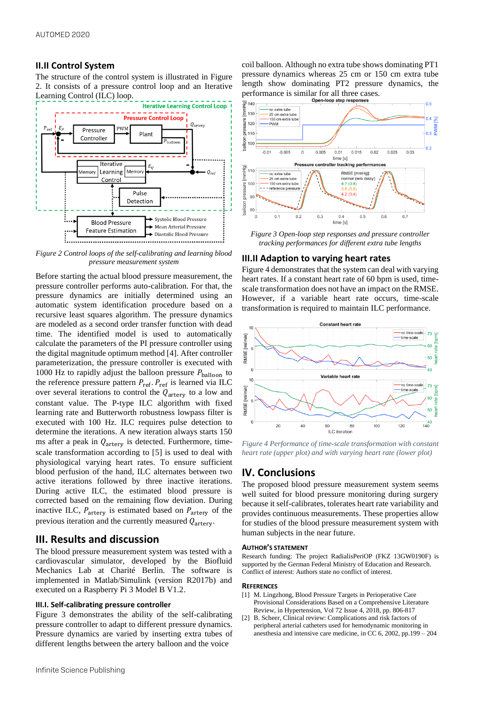## **II.II Control System**

The structure of the control system is illustrated in Figure 2. It consists of a pressure control loop and an Iterative Learning Control (ILC) loop.



*Figure 2 Control loops of the self-calibrating and learning blood pressure measurement system*

Before starting the actual blood pressure measurement, the pressure controller performs auto-calibration. For that, the pressure dynamics are initially determined using an automatic system identification procedure based on a recursive least squares algorithm. The pressure dynamics are modeled as a second order transfer function with dead time. The identified model is used to automatically calculate the parameters of the PI pressure controller using the digital magnitude optimum method [4]. After controller parameterization, the pressure controller is executed with 1000 Hz to rapidly adjust the balloon pressure  $P_{\text{balloon}}$  to the reference pressure pattern  $P_{ref}$ .  $P_{ref}$  is learned via ILC over several iterations to control the  $Q_{\text{artery}}$  to a low and constant value. The P-type ILC algorithm with fixed learning rate and Butterworth robustness lowpass filter is executed with 100 Hz. ILC requires pulse detection to determine the iterations. A new iteration always starts 150 ms after a peak in  $Q_{\text{artery}}$  is detected. Furthermore, timescale transformation according to [5] is used to deal with physiological varying heart rates. To ensure sufficient blood perfusion of the hand, ILC alternates between two active iterations followed by three inactive iterations. During active ILC, the estimated blood pressure is corrected based on the remaining flow deviation. During inactive ILC,  $P_{\text{artery}}$  is estimated based on  $P_{\text{artery}}$  of the previous iteration and the currently measured  $Q_{\text{arterv}}$ .

## **III. Results and discussion**

The blood pressure measurement system was tested with a cardiovascular simulator, developed by the Biofluid Mechanics Lab at Charité Berlin. The software is implemented in Matlab/Simulink (version R2017b) and executed on a Raspberry Pi 3 Model B V1.2.

### **III.I. Self-calibrating pressure controller**

Figure 3 demonstrates the ability of the self-calibrating pressure controller to adapt to different pressure dynamics. Pressure dynamics are varied by inserting extra tubes of different lengths between the artery balloon and the voice

coil balloon. Although no extra tube shows dominating PT1 pressure dynamics whereas 25 cm or 150 cm extra tube length show dominating PT2 pressure dynamics, the performance is similar for all three cases.



*Figure 3 Open-loop step responses and pressure controller tracking performances for different extra tube lengths*

### **III.II Adaption to varying heart rates**

Figure 4 demonstrates that the system can deal with varying heart rates. If a constant heart rate of 60 bpm is used, timescale transformation does not have an impact on the RMSE. However, if a variable heart rate occurs, time-scale transformation is required to maintain ILC performance.



*Figure 4 Performance of time-scale transformation with constant heart rate (upper plot) and with varying heart rate (lower plot)*

## **IV. Conclusions**

The proposed blood pressure measurement system seems well suited for blood pressure monitoring during surgery because it self-calibrates, tolerates heart rate variability and provides continuous measurements. These properties allow for studies of the blood pressure measurement system with human subjects in the near future.

#### **AUTHOR'S STATEMENT**

Research funding: The project RadialisPeriOP (FKZ 13GW0190F) is supported by the German Federal Ministry of Education and Research. Conflict of interest: Authors state no conflict of interest.

#### **REFERENCES**

- [1] M. Lingzhong, Blood Pressure Targets in Perioperative Care Provisional Considerations Based on a Comprehensive Literature Review, in Hypertension, Vol 72 Issue 4, 2018, pp. 806-817
- [2] B. Scheer, Clinical review: Complications and risk factors of peripheral arterial catheters used for hemodynamic monitoring in anesthesia and intensive care medicine, in CC 6, 2002, pp.199 – 204